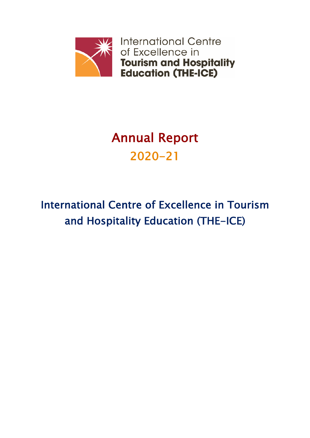

# Annual Report 2020-21

# International Centre of Excellence in Tourism and Hospitality Education (THE-ICE)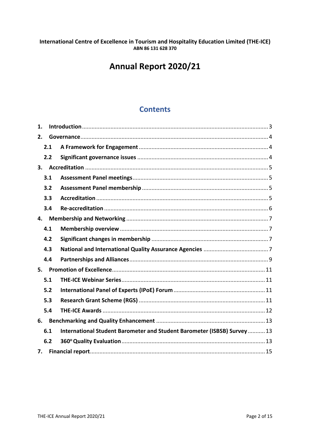# International Centre of Excellence in Tourism and Hospitality Education Limited (THE-ICE) ABN 86 131 628 370

# Annual Report 2020/21

# **Contents**

| $\mathbf 1$ . |     |                                                                         |  |  |  |
|---------------|-----|-------------------------------------------------------------------------|--|--|--|
| 2.            |     |                                                                         |  |  |  |
|               | 2.1 |                                                                         |  |  |  |
|               | 2.2 |                                                                         |  |  |  |
| 3.            |     |                                                                         |  |  |  |
|               | 3.1 |                                                                         |  |  |  |
|               | 3.2 |                                                                         |  |  |  |
|               | 3.3 |                                                                         |  |  |  |
|               | 3.4 |                                                                         |  |  |  |
| 4.            |     |                                                                         |  |  |  |
|               | 4.1 |                                                                         |  |  |  |
|               | 4.2 |                                                                         |  |  |  |
|               | 4.3 |                                                                         |  |  |  |
|               | 4.4 |                                                                         |  |  |  |
| 5.            |     |                                                                         |  |  |  |
|               | 5.1 |                                                                         |  |  |  |
|               | 5.2 |                                                                         |  |  |  |
|               | 5.3 |                                                                         |  |  |  |
|               | 5.4 |                                                                         |  |  |  |
| 6.            |     |                                                                         |  |  |  |
|               | 6.1 | International Student Barometer and Student Barometer (ISBSB) Survey 13 |  |  |  |
|               | 6.2 |                                                                         |  |  |  |
| 7.            |     |                                                                         |  |  |  |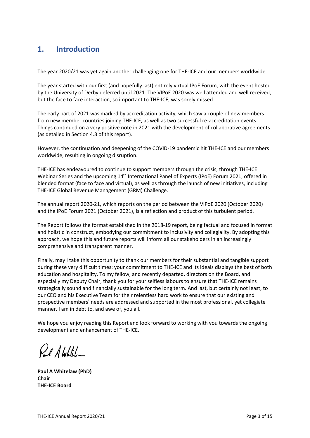# **1. Introduction**

The year 2020/21 was yet again another challenging one for THE-ICE and our members worldwide.

but the face to face interaction, so important to THE-ICE, was sorely missed. by the University of Derby deferred until 2021. The VIPoE 2020 was well attended and well received, The year started with our first (and hopefully last) entirely virtual IPoE Forum, with the event hosted

(as detailed in Section 4.3 of this report). Things continued on a very positive note in 2021 with the development of collaborative agreements from new member countries joining THE-ICE, as well as two successful re-accreditation events. The early part of 2021 was marked by accreditation activity, which saw a couple of new members

worldwide, resulting in ongoing disruption. However, the continuation and deepening of the COVID-19 pandemic hit THE-ICE and our members

THE-ICE Global Revenue Management (GRM) Challenge. blended format (face to face and virtual), as well as through the launch of new initiatives, including Webinar Series and the upcoming 14<sup>th</sup> International Panel of Experts (IPoE) Forum 2021, offered in THE-ICE has endeavoured to continue to support members through the crisis, through THE-ICE

and the IPoE Forum 2021 (October 2021), is a reflection and product of this turbulent period. The annual report 2020-21, which reports on the period between the VIPoE 2020 (October 2020)

comprehensive and transparent manner. approach, we hope this and future reports will inform all our stakeholders in an increasingly and holistic in construct, embodying our commitment to inclusivity and collegiality. By adopting this The Report follows the format established in the 2018-19 report, being factual and focused in format

manner. I am in debt to, and awe of, you all. prospective members' needs are addressed and supported in the most professional, yet collegiate our CEO and his Executive Team for their relentless hard work to ensure that our existing and strategically sound and financially sustainable for the long term. And last, but certainly not least, to especially my Deputy Chair, thank you for your selfless labours to ensure that THE-ICE remains education and hospitality. To my fellow, and recently departed, directors on the Board, and during these very difficult times: your commitment to THE-ICE and its ideals displays the best of both Finally, may I take this opportunity to thank our members for their substantial and tangible support

development and enhancement of THE-ICE. We hope you enjoy reading this Report and look forward to working with you towards the ongoing

Pel AWhitel

**Paul A Whitelaw (PhD) Chair THE-ICE Board**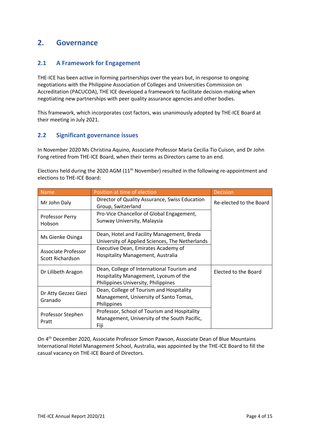# **2. Governance**

# **2.1 A Framework for Engagement**

THE-ICE has been active in forming partnerships over the years but, in response to ongoing negotiations with the Philippine Association of Colleges and Universities Commission on Accreditation (PACUCOA), THE ICE developed a framework to facilitate decision-making when negotiating new partnerships with peer quality assurance agencies and other bodies.

This framework, which incorporates cost factors, was unanimously adopted by THE-ICE Board at their meeting in July 2021.

## **2.2 Significant governance issues**

In November 2020 Ms Christina Aquino, Associate Professor Maria Cecilia Tio Cuison, and Dr John Fong retired from THE-ICE Board, when their terms as Directors came to an end.

Elections held during the 2020 AGM (11<sup>th</sup> November) resulted in the following re-appointment and elections to THE-ICE Board:

| <b>Name</b>                             | Position at time of election                                                                                               | <b>Decision</b>         |
|-----------------------------------------|----------------------------------------------------------------------------------------------------------------------------|-------------------------|
| Mr John Daly                            | Director of Quality Assurance, Swiss Education<br>Group, Switzerland                                                       | Re-elected to the Board |
| Professor Perry<br>Hobson               | Pro-Vice Chancellor of Global Engagement,<br>Sunway University, Malaysia                                                   |                         |
| Ms Gienke Osinga                        | Dean, Hotel and Facility Management, Breda<br>University of Applied Sciences, The Netherlands                              |                         |
| Associate Professor<br>Scott Richardson | Executive Dean, Emirates Academy of<br>Hospitality Management, Australia                                                   |                         |
| Dr Lilibeth Aragon                      | Dean, College of International Tourism and<br>Hospitality Management, Lyceum of the<br>Philippines University, Philippines | Elected to the Board    |
| Dr Atty Gezzez Giezi<br>Granado         | Dean, College of Tourism and Hospitality<br>Management, University of Santo Tomas,<br>Philippines                          |                         |
| Professor Stephen<br>Pratt              | Professor, School of Tourism and Hospitality<br>Management, University of the South Pacific,<br>Fiji                       |                         |

On 4th December 2020, Associate Professor Simon Pawson, Associate Dean of Blue Mountains International Hotel Management School, Australia, was appointed by the THE-ICE Board to fill the casual vacancy on THE-ICE Board of Directors.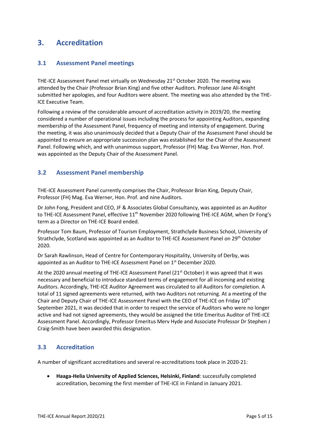# **3. Accreditation**

## **3.1 Assessment Panel meetings**

THE-ICE Assessment Panel met virtually on Wednesday 21<sup>st</sup> October 2020. The meeting was attended by the Chair (Professor Brian King) and five other Auditors. Professor Jane Ali-Knight submitted her apologies, and four Auditors were absent. The meeting was also attended by the THE-ICE Executive Team.

Following a review of the considerable amount of accreditation activity in 2019/20, the meeting considered a number of operational issues including the process for appointing Auditors, expanding membership of the Assessment Panel, frequency of meeting and intensity of engagement. During the meeting, it was also unanimously decided that a Deputy Chair of the Assessment Panel should be appointed to ensure an appropriate succession plan was established for the Chair of the Assessment Panel. Following which, and with unanimous support, Professor (FH) Mag. Eva Werner, Hon. Prof. was appointed as the Deputy Chair of the Assessment Panel.

## **3.2 Assessment Panel membership**

THE-ICE Assessment Panel currently comprises the Chair, Professor Brian King, Deputy Chair, Professor (FH) Mag. Eva Werner, Hon. Prof. and nine Auditors.

Dr John Fong, President and CEO, JF & Associates Global Consultancy, was appointed as an Auditor to THE-ICE Assessment Panel, effective 11<sup>th</sup> November 2020 following THE-ICE AGM, when Dr Fong's term as a Director on THE-ICE Board ended.

Professor Tom Baum, Professor of Tourism Employment, Strathclyde Business School, University of Strathclyde, Scotland was appointed as an Auditor to THE-ICE Assessment Panel on 29<sup>th</sup> October 2020.

Dr Sarah Rawlinson, Head of Centre for Contemporary Hospitality, University of Derby, was appointed as an Auditor to THE-ICE Assessment Panel on 1<sup>st</sup> December 2020.

At the 2020 annual meeting of THE-ICE Assessment Panel (21<sup>st</sup> October) it was agreed that it was necessary and beneficial to introduce standard terms of engagement for all incoming and existing Auditors. Accordingly, THE-ICE Auditor Agreement was circulated to all Auditors for completion. A total of 11 signed agreements were returned, with two Auditors not returning. At a meeting of the Chair and Deputy Chair of THE-ICE Assessment Panel with the CEO of THE-ICE on Friday 10th September 2021, it was decided that in order to respect the service of Auditors who were no longer active and had not signed agreements, they would be assigned the title Emeritus Auditor of THE-ICE Assessment Panel. Accordingly, Professor Emeritus Merv Hyde and Associate Professor Dr Stephen J Craig-Smith have been awarded this designation.

# **3.3 Accreditation**

A number of significant accreditations and several re-accreditations took place in 2020-21:

• **Haaga-Helia University of Applied Sciences, Helsinki, Finland**: successfully completed accreditation, becoming the first member of THE-ICE in Finland in January 2021.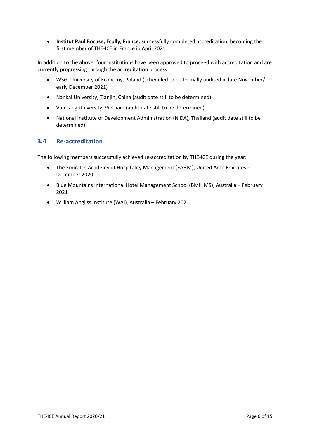• **Institut Paul Bocuse, Ecully, France:** successfully completed accreditation, becoming the first member of THE-ICE in France in April 2021.

In addition to the above, four institutions have been approved to proceed with accreditation and are currently progressing through the accreditation process:

- WSG, University of Economy, Poland (scheduled to be formally audited in late November/ early December 2021)
- Nankai University, Tianjin, China (audit date still to be determined)
- Van Lang University, Vietnam (audit date still to be determined)
- National Institute of Development Administration (NIDA), Thailand (audit date still to be determined)

## **3.4 Re-accreditation**

The following members successfully achieved re-accreditation by THE-ICE during the year:

- The Emirates Academy of Hospitality Management (EAHM), United Arab Emirates December 2020
- Blue Mountains International Hotel Management School (BMIHMS), Australia February 2021
- William Angliss Institute (WAI), Australia February 2021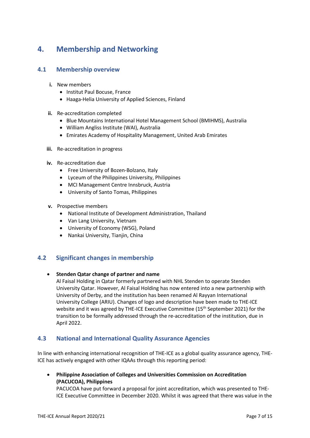# **4. Membership and Networking**

### **4.1 Membership overview**

- **i.** New members
	- Institut Paul Bocuse, France
	- Haaga-Helia University of Applied Sciences, Finland
- **ii.** Re-accreditation completed
	- Blue Mountains International Hotel Management School (BMIHMS), Australia
	- William Angliss Institute (WAI), Australia
	- Emirates Academy of Hospitality Management, United Arab Emirates
- **iii.** Re-accreditation in progress
- **iv.** Re-accreditation due
	- Free University of Bozen-Bolzano, Italy
	- Lyceum of the Philippines University, Philippines
	- MCI Management Centre Innsbruck, Austria
	- University of Santo Tomas, Philippines
- **v.** Prospective members
	- National Institute of Development Administration, Thailand
	- Van Lang University, Vietnam
	- University of Economy (WSG), Poland
	- Nankai University, Tianjin, China

# **4.2 Significant changes in membership**

#### • **Stenden Qatar change of partner and name**

Al Faisal Holding in Qatar formerly partnered with NHL Stenden to operate Stenden University Qatar. However, Al Faisal Holding has now entered into a new partnership with University of Derby, and the institution has been renamed Al Rayyan International University College (ARIU). Changes of logo and description have been made to THE-ICE website and it was agreed by THE-ICE Executive Committee (15<sup>th</sup> September 2021) for the transition to be formally addressed through the re-accreditation of the institution, due in April 2022.

# **4.3 National and International Quality Assurance Agencies**

In line with enhancing international recognition of THE-ICE as a global quality assurance agency, THE-ICE has actively engaged with other IQAAs through this reporting period:

• **Philippine Association of Colleges and Universities Commission on Accreditation (PACUCOA), Philippines**

PACUCOA have put forward a proposal for joint accreditation, which was presented to THE-ICE Executive Committee in December 2020. Whilst it was agreed that there was value in the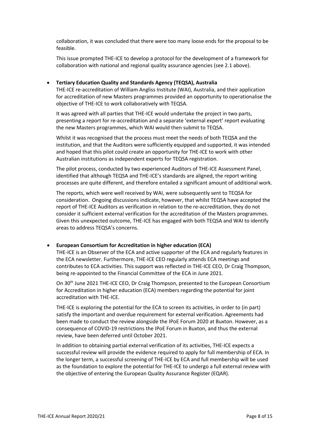collaboration, it was concluded that there were too many loose ends for the proposal to be feasible.

This issue prompted THE-ICE to develop a protocol for the development of a framework for collaboration with national and regional quality assurance agencies (see 2.1 above).

#### • **Tertiary Education Quality and Standards Agency (TEQSA), Australia**

THE-ICE re-accreditation of William Angliss Institute (WAI), Australia, and their application for accreditation of new Masters programmes provided an opportunity to operationalise the objective of THE-ICE to work collaboratively with TEQSA.

It was agreed with all parties that THE-ICE would undertake the project in two parts, presenting a report for re-accreditation and a separate 'external expert' report evaluating the new Masters programmes, which WAI would then submit to TEQSA.

Whilst it was recognised that the process must meet the needs of both TEQSA and the institution, and that the Auditors were sufficiently equipped and supported, it was intended and hoped that this pilot could create an opportunity for THE-ICE to work with other Australian institutions as independent experts for TEQSA registration.

The pilot process, conducted by two experienced Auditors of THE-ICE Assessment Panel, identified that although TEQSA and THE-ICE's standards are aligned, the report writing processes are quite different, and therefore entailed a significant amount of additional work.

The reports, which were well received by WAI, were subsequently sent to TEQSA for consideration. Ongoing discussions indicate, however, that whilst TEQSA have accepted the report of THE-ICE Auditors as verification in relation to the re-accreditation, they do not consider it sufficient external verification for the accreditation of the Masters programmes. Given this unexpected outcome, THE-ICE has engaged with both TEQSA and WAI to identify areas to address TEQSA's concerns.

#### • **European Consortium for Accreditation in higher education (ECA)**

THE-ICE is an Observer of the ECA and active supporter of the ECA and regularly features in the ECA newsletter. Furthermore, THE-ICE CEO regularly attends ECA meetings and contributes to ECA activities. This support was reflected in THE-ICE CEO, Dr Craig Thompson, being re-appointed to the Financial Committee of the ECA in June 2021.

On 30th June 2021 THE-ICE CEO, Dr Craig Thompson, presented to the European Consortium for Accreditation in higher education (ECA) members regarding the potential for joint accreditation with THE-ICE.

THE-ICE is exploring the potential for the ECA to screen its activities, in order to (in part) satisfy the important and overdue requirement for external verification. Agreements had been made to conduct the review alongside the IPoE Forum 2020 at Buxton. However, as a consequence of COVID-19 restrictions the IPoE Forum in Buxton, and thus the external review, have been deferred until October 2021.

In addition to obtaining partial external verification of its activities, THE-ICE expects a successful review will provide the evidence required to apply for full membership of ECA. In the longer term, a successful screening of THE-ICE by ECA and full membership will be used as the foundation to explore the potential for THE-ICE to undergo a full external review with the objective of entering the European Quality Assurance Register (EQAR).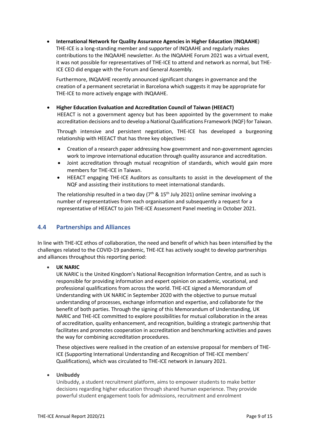• **International Network for Quality Assurance Agencies in Higher Education** (**INQAAHE**) THE-ICE is a long-standing member and supporter of INQAAHE and regularly makes contributions to the INQAAHE newsletter. As the INQAAHE Forum 2021 was a virtual event, it was not possible for representatives of THE-ICE to attend and network as normal, but THE-ICE CEO did engage with the Forum and General Assembly.

Furthermore, INQAAHE recently announced significant changes in governance and the creation of a permanent secretariat in Barcelona which suggests it may be appropriate for THE-ICE to more actively engage with INQAAHE.

• **Higher Education Evaluation and Accreditation Council of Taiwan (HEEACT)** HEEACT is not a government agency but has been appointed by the government to make accreditation decisions and to develop a National Qualifications Framework (NQF) for Taiwan.

Through intensive and persistent negotiation, THE-ICE has developed a burgeoning relationship with HEEACT that has three key objectives:

- Creation of a research paper addressing how government and non-government agencies work to improve international education through quality assurance and accreditation.
- Joint accreditation through mutual recognition of standards, which would gain more members for THE-ICE in Taiwan.
- HEEACT engaging THE-ICE Auditors as consultants to assist in the development of the NQF and assisting their institutions to meet international standards.

The relationship resulted in a two day ( $7<sup>th</sup>$  & 15<sup>th</sup> July 2021) online seminar involving a number of representatives from each organisation and subsequently a request for a representative of HEEACT to join THE-ICE Assessment Panel meeting in October 2021.

### **4.4 Partnerships and Alliances**

In line with THE-ICE ethos of collaboration, the need and benefit of which has been intensified by the challenges related to the COVID-19 pandemic, THE-ICE has actively sought to develop partnerships and alliances throughout this reporting period:

#### • **UK NARIC**

UK NARIC is the United Kingdom's National Recognition Information Centre, and as such is responsible for providing information and expert opinion on academic, vocational, and professional qualifications from across the world. THE-ICE signed a Memorandum of Understanding with UK NARIC in September 2020 with the objective to pursue mutual understanding of processes, exchange information and expertise, and collaborate for the benefit of both parties. Through the signing of this Memorandum of Understanding, UK NARIC and THE-ICE committed to explore possibilities for mutual collaboration in the areas of accreditation, quality enhancement, and recognition, building a strategic partnership that facilitates and promotes cooperation in accreditation and benchmarking activities and paves the way for combining accreditation procedures.

These objectives were realised in the creation of an extensive proposal for members of THE-ICE (Supporting International Understanding and Recognition of THE-ICE members' Qualifications), which was circulated to THE-ICE network in January 2021.

#### • **Unibuddy**

Unibuddy, a student recruitment platform, aims to empower students to make better decisions regarding higher education through shared human experience. They provide powerful student engagement tools for admissions, recruitment and enrolment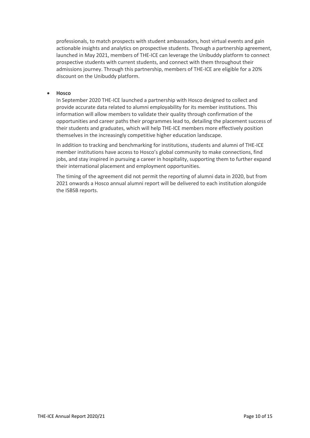professionals, to match prospects with student ambassadors, host virtual events and gain actionable insights and analytics on prospective students. Through a partnership agreement, launched in May 2021, members of THE-ICE can leverage the Unibuddy platform to connect prospective students with current students, and connect with them throughout their admissions journey. Through this partnership, members of THE-ICE are eligible for a 20% discount on the Unibuddy platform.

#### • **Hosco**

In September 2020 THE-ICE launched a partnership with Hosco designed to collect and provide accurate data related to alumni employability for its member institutions. This information will allow members to validate their quality through confirmation of the opportunities and career paths their programmes lead to, detailing the placement success of their students and graduates, which will help THE-ICE members more effectively position themselves in the increasingly competitive higher education landscape.

In addition to tracking and benchmarking for institutions, students and alumni of THE-ICE member institutions have access to Hosco's global community to make connections, find jobs, and stay inspired in pursuing a career in hospitality, supporting them to further expand their international placement and employment opportunities.

The timing of the agreement did not permit the reporting of alumni data in 2020, but from 2021 onwards a Hosco annual alumni report will be delivered to each institution alongside the ISBSB reports.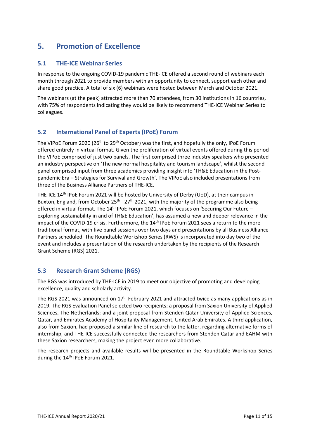# **5. Promotion of Excellence**

# **5.1 THE-ICE Webinar Series**

In response to the ongoing COVID-19 pandemic THE-ICE offered a second round of webinars each month through 2021 to provide members with an opportunity to connect, support each other and share good practice. A total of six (6) webinars were hosted between March and October 2021.

The webinars (at the peak) attracted more than 70 attendees, from 30 institutions in 16 countries, with 75% of respondents indicating they would be likely to recommend THE-ICE Webinar Series to colleagues.

# **5.2 International Panel of Experts (IPoE) Forum**

The VIPoE Forum 2020 (26<sup>th</sup> to 29<sup>th</sup> October) was the first, and hopefully the only, IPoE Forum offered entirely in virtual format. Given the proliferation of virtual events offered during this period the VIPoE comprised of just two panels. The first comprised three industry speakers who presented an industry perspective on 'The new normal hospitality and tourism landscape', whilst the second panel comprised input from three academics providing insight into 'TH&E Education in the Postpandemic Era – Strategies for Survival and Growth'. The VIPoE also included presentations from three of the Business Alliance Partners of THE-ICE.

THE-ICE 14th IPoE Forum 2021 will be hosted by University of Derby (UoD), at their campus in Buxton, England, from October  $25<sup>th</sup> - 27<sup>th</sup> 2021$ , with the majority of the programme also being offered in virtual format. The  $14<sup>th</sup>$  IPoE Forum 2021, which focuses on 'Securing Our Future – exploring sustainability in and of TH&E Education', has assumed a new and deeper relevance in the impact of the COVID-19 crisis. Furthermore, the 14<sup>th</sup> IPoE Forum 2021 sees a return to the more traditional format, with five panel sessions over two days and presentations by all Business Alliance Partners scheduled. The Roundtable Workshop Series (RWS) is incorporated into day two of the event and includes a presentation of the research undertaken by the recipients of the Research Grant Scheme (RGS) 2021.

# **5.3 Research Grant Scheme (RGS)**

The RGS was introduced by THE-ICE in 2019 to meet our objective of promoting and developing excellence, quality and scholarly activity.

The RGS 2021 was announced on 17<sup>th</sup> February 2021 and attracted twice as many applications as in 2019. The RGS Evaluation Panel selected two recipients; a proposal from Saxion University of Applied Sciences, The Netherlands; and a joint proposal from Stenden Qatar University of Applied Sciences, Qatar, and Emirates Academy of Hospitality Management, United Arab Emirates. A third application, also from Saxion, had proposed a similar line of research to the latter, regarding alternative forms of internship, and THE-ICE successfully connected the researchers from Stenden Qatar and EAHM with these Saxion researchers, making the project even more collaborative.

The research projects and available results will be presented in the Roundtable Workshop Series during the 14<sup>th</sup> IPoE Forum 2021.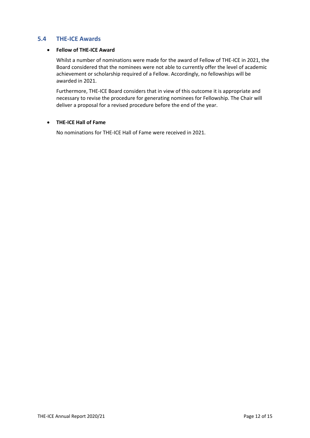# **5.4 THE-ICE Awards**

#### • **Fellow of THE-ICE Award**

Whilst a number of nominations were made for the award of Fellow of THE-ICE in 2021, the Board considered that the nominees were not able to currently offer the level of academic achievement or scholarship required of a Fellow. Accordingly, no fellowships will be awarded in 2021.

Furthermore, THE-ICE Board considers that in view of this outcome it is appropriate and necessary to revise the procedure for generating nominees for Fellowship. The Chair will deliver a proposal for a revised procedure before the end of the year.

#### • **THE-ICE Hall of Fame**

No nominations for THE-ICE Hall of Fame were received in 2021.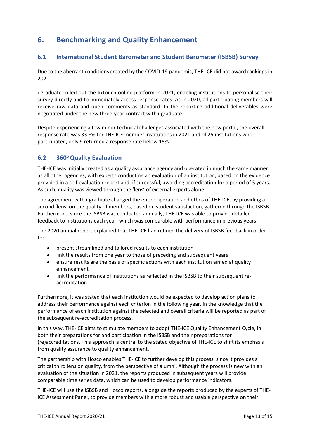# **6. Benchmarking and Quality Enhancement**

# **6.1 International Student Barometer and Student Barometer (ISBSB) Survey**

Due to the aberrant conditions created by the COVID-19 pandemic, THE-ICE did not award rankings in 2021.

i-graduate rolled out the InTouch online platform in 2021, enabling institutions to personalise their survey directly and to immediately access response rates. As in 2020, all participating members will receive raw data and open comments as standard. In the reporting additional deliverables were negotiated under the new three-year contract with i-graduate.

Despite experiencing a few minor technical challenges associated with the new portal, the overall response rate was 33.8% for THE-ICE member institutions in 2021 and of 25 institutions who participated, only 9 returned a response rate below 15%.

# **6.2 360o Quality Evaluation**

THE-ICE was initially created as a quality assurance agency and operated in much the same manner as all other agencies, with experts conducting an evaluation of an institution, based on the evidence provided in a self evaluation report and, if successful, awarding accreditation for a period of 5 years. As such, quality was viewed through the 'lens' of external experts alone.

The agreement with i-graduate changed the entire operation and ethos of THE-ICE, by providing a second 'lens' on the quality of members, based on student satisfaction, gathered through the ISBSB. Furthermore, since the ISBSB was conducted annually, THE-ICE was able to provide detailed feedback to institutions each year, which was comparable with performance in previous years.

The 2020 annual report explained that THE-ICE had refined the delivery of ISBSB feedback in order to:

- present streamlined and tailored results to each institution
- link the results from one year to those of preceding and subsequent years
- ensure results are the basis of specific actions with each institution aimed at quality enhancement
- link the performance of institutions as reflected in the ISBSB to their subsequent reaccreditation.

Furthermore, it was stated that each institution would be expected to develop action plans to address their performance against each criterion in the following year, in the knowledge that the performance of each institution against the selected and overall criteria will be reported as part of the subsequent re-accreditation process.

In this way, THE-ICE aims to stimulate members to adopt THE-ICE Quality Enhancement Cycle, in both their preparations for and participation in the ISBSB and their preparations for (re)accreditations. This approach is central to the stated objective of THE-ICE to shift its emphasis from quality assurance to quality enhancement.

The partnership with Hosco enables THE-ICE to further develop this process, since it provides a critical third lens on quality, from the perspective of alumni. Although the process is new with an evaluation of the situation in 2021, the reports produced in subsequent years will provide comparable time series data, which can be used to develop performance indicators.

THE-ICE will use the ISBSB and Hosco reports, alongside the reports produced by the experts of THE-ICE Assessment Panel, to provide members with a more robust and usable perspective on their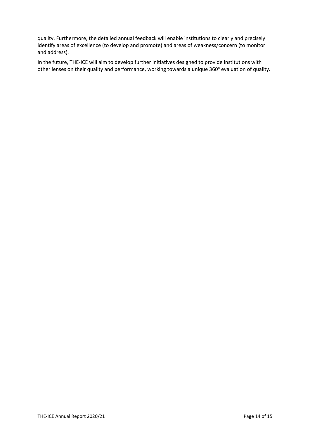quality. Furthermore, the detailed annual feedback will enable institutions to clearly and precisely identify areas of excellence (to develop and promote) and areas of weakness/concern (to monitor and address).

In the future, THE-ICE will aim to develop further initiatives designed to provide institutions with other lenses on their quality and performance, working towards a unique 360° evaluation of quality.